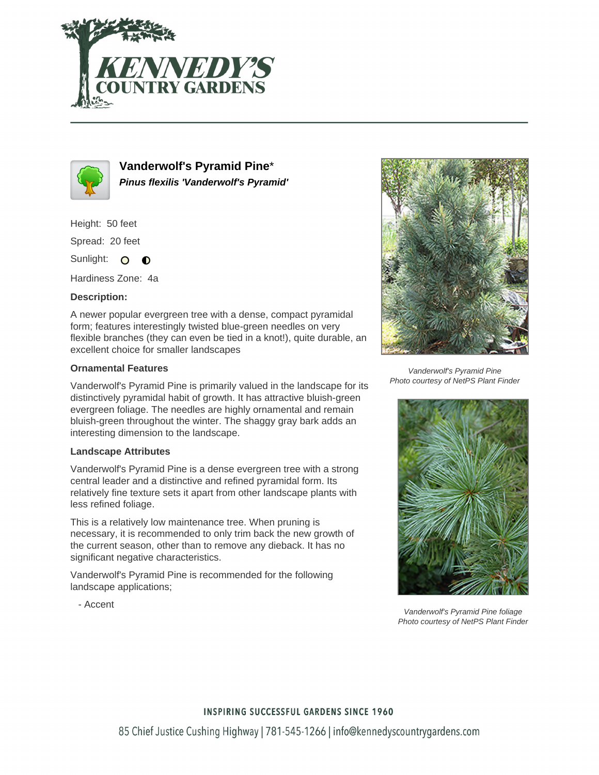



**Vanderwolf's Pyramid Pine**\* **Pinus flexilis 'Vanderwolf's Pyramid'**

Height: 50 feet

Spread: 20 feet

Sunlight: O **O** 

Hardiness Zone: 4a

## **Description:**

A newer popular evergreen tree with a dense, compact pyramidal form; features interestingly twisted blue-green needles on very flexible branches (they can even be tied in a knot!), quite durable, an excellent choice for smaller landscapes

## **Ornamental Features**

Vanderwolf's Pyramid Pine is primarily valued in the landscape for its distinctively pyramidal habit of growth. It has attractive bluish-green evergreen foliage. The needles are highly ornamental and remain bluish-green throughout the winter. The shaggy gray bark adds an interesting dimension to the landscape.

## **Landscape Attributes**

Vanderwolf's Pyramid Pine is a dense evergreen tree with a strong central leader and a distinctive and refined pyramidal form. Its relatively fine texture sets it apart from other landscape plants with less refined foliage.

This is a relatively low maintenance tree. When pruning is necessary, it is recommended to only trim back the new growth of the current season, other than to remove any dieback. It has no significant negative characteristics.

Vanderwolf's Pyramid Pine is recommended for the following landscape applications;



Vanderwolf's Pyramid Pine Photo courtesy of NetPS Plant Finder



Vanderwolf's Pyramid Pine foliage Photo courtesy of NetPS Plant Finder

- Accent